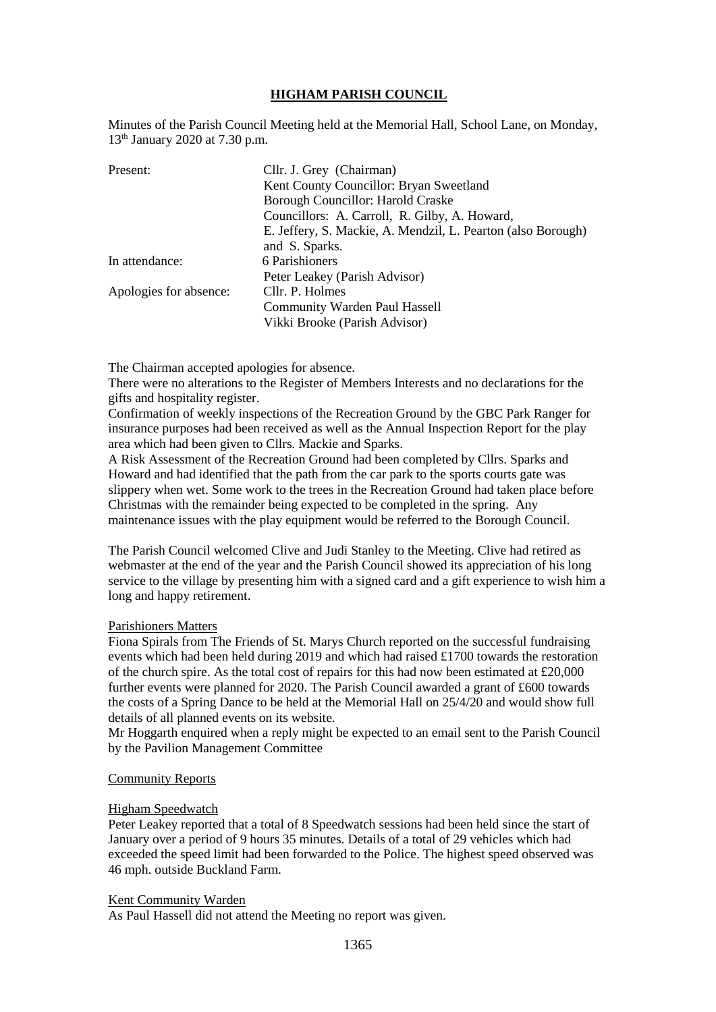## **HIGHAM PARISH COUNCIL**

Minutes of the Parish Council Meeting held at the Memorial Hall, School Lane, on Monday, 13th January 2020 at 7.30 p.m.

| Present:               | Cllr. J. Grey (Chairman)                                     |
|------------------------|--------------------------------------------------------------|
|                        | Kent County Councillor: Bryan Sweetland                      |
|                        | Borough Councillor: Harold Craske                            |
|                        | Councillors: A. Carroll, R. Gilby, A. Howard,                |
|                        | E. Jeffery, S. Mackie, A. Mendzil, L. Pearton (also Borough) |
|                        | and S. Sparks.                                               |
| In attendance:         | 6 Parishioners                                               |
|                        | Peter Leakey (Parish Advisor)                                |
| Apologies for absence: | Cllr. P. Holmes                                              |
|                        | <b>Community Warden Paul Hassell</b>                         |
|                        | Vikki Brooke (Parish Advisor)                                |

The Chairman accepted apologies for absence.

There were no alterations to the Register of Members Interests and no declarations for the gifts and hospitality register.

Confirmation of weekly inspections of the Recreation Ground by the GBC Park Ranger for insurance purposes had been received as well as the Annual Inspection Report for the play area which had been given to Cllrs. Mackie and Sparks.

A Risk Assessment of the Recreation Ground had been completed by Cllrs. Sparks and Howard and had identified that the path from the car park to the sports courts gate was slippery when wet. Some work to the trees in the Recreation Ground had taken place before Christmas with the remainder being expected to be completed in the spring. Any maintenance issues with the play equipment would be referred to the Borough Council.

The Parish Council welcomed Clive and Judi Stanley to the Meeting. Clive had retired as webmaster at the end of the year and the Parish Council showed its appreciation of his long service to the village by presenting him with a signed card and a gift experience to wish him a long and happy retirement.

#### Parishioners Matters

Fiona Spirals from The Friends of St. Marys Church reported on the successful fundraising events which had been held during 2019 and which had raised £1700 towards the restoration of the church spire. As the total cost of repairs for this had now been estimated at £20,000 further events were planned for 2020. The Parish Council awarded a grant of £600 towards the costs of a Spring Dance to be held at the Memorial Hall on 25/4/20 and would show full details of all planned events on its website.

Mr Hoggarth enquired when a reply might be expected to an email sent to the Parish Council by the Pavilion Management Committee

### Community Reports

#### Higham Speedwatch

Peter Leakey reported that a total of 8 Speedwatch sessions had been held since the start of January over a period of 9 hours 35 minutes. Details of a total of 29 vehicles which had exceeded the speed limit had been forwarded to the Police. The highest speed observed was 46 mph. outside Buckland Farm.

#### Kent Community Warden

As Paul Hassell did not attend the Meeting no report was given.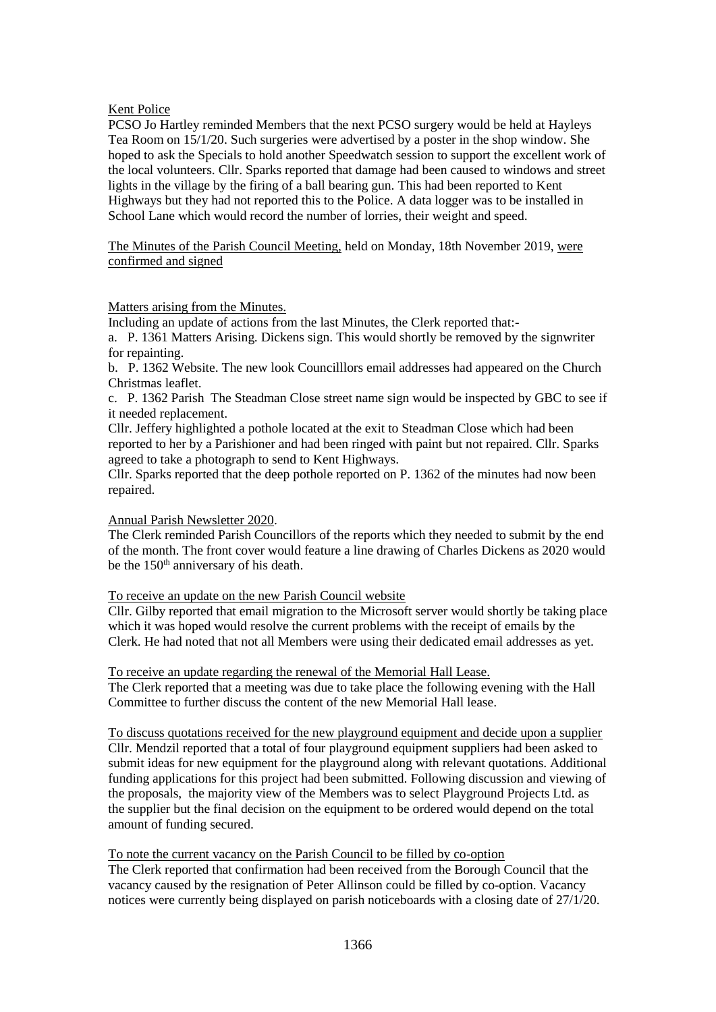## Kent Police

PCSO Jo Hartley reminded Members that the next PCSO surgery would be held at Hayleys Tea Room on 15/1/20. Such surgeries were advertised by a poster in the shop window. She hoped to ask the Specials to hold another Speedwatch session to support the excellent work of the local volunteers. Cllr. Sparks reported that damage had been caused to windows and street lights in the village by the firing of a ball bearing gun. This had been reported to Kent Highways but they had not reported this to the Police. A data logger was to be installed in School Lane which would record the number of lorries, their weight and speed.

The Minutes of the Parish Council Meeting, held on Monday, 18th November 2019, were confirmed and signed

### Matters arising from the Minutes.

Including an update of actions from the last Minutes, the Clerk reported that:-

a. P. 1361 Matters Arising. Dickens sign. This would shortly be removed by the signwriter for repainting.

b. P. 1362 Website. The new look Councilllors email addresses had appeared on the Church Christmas leaflet.

c. P. 1362 Parish The Steadman Close street name sign would be inspected by GBC to see if it needed replacement.

Cllr. Jeffery highlighted a pothole located at the exit to Steadman Close which had been reported to her by a Parishioner and had been ringed with paint but not repaired. Cllr. Sparks agreed to take a photograph to send to Kent Highways.

Cllr. Sparks reported that the deep pothole reported on P. 1362 of the minutes had now been repaired.

# Annual Parish Newsletter 2020.

The Clerk reminded Parish Councillors of the reports which they needed to submit by the end of the month. The front cover would feature a line drawing of Charles Dickens as 2020 would be the 150<sup>th</sup> anniversary of his death.

# To receive an update on the new Parish Council website

Cllr. Gilby reported that email migration to the Microsoft server would shortly be taking place which it was hoped would resolve the current problems with the receipt of emails by the Clerk. He had noted that not all Members were using their dedicated email addresses as yet.

To receive an update regarding the renewal of the Memorial Hall Lease.

The Clerk reported that a meeting was due to take place the following evening with the Hall Committee to further discuss the content of the new Memorial Hall lease.

To discuss quotations received for the new playground equipment and decide upon a supplier Cllr. Mendzil reported that a total of four playground equipment suppliers had been asked to submit ideas for new equipment for the playground along with relevant quotations. Additional funding applications for this project had been submitted. Following discussion and viewing of the proposals, the majority view of the Members was to select Playground Projects Ltd. as the supplier but the final decision on the equipment to be ordered would depend on the total amount of funding secured.

### To note the current vacancy on the Parish Council to be filled by co-option

The Clerk reported that confirmation had been received from the Borough Council that the vacancy caused by the resignation of Peter Allinson could be filled by co-option. Vacancy notices were currently being displayed on parish noticeboards with a closing date of 27/1/20.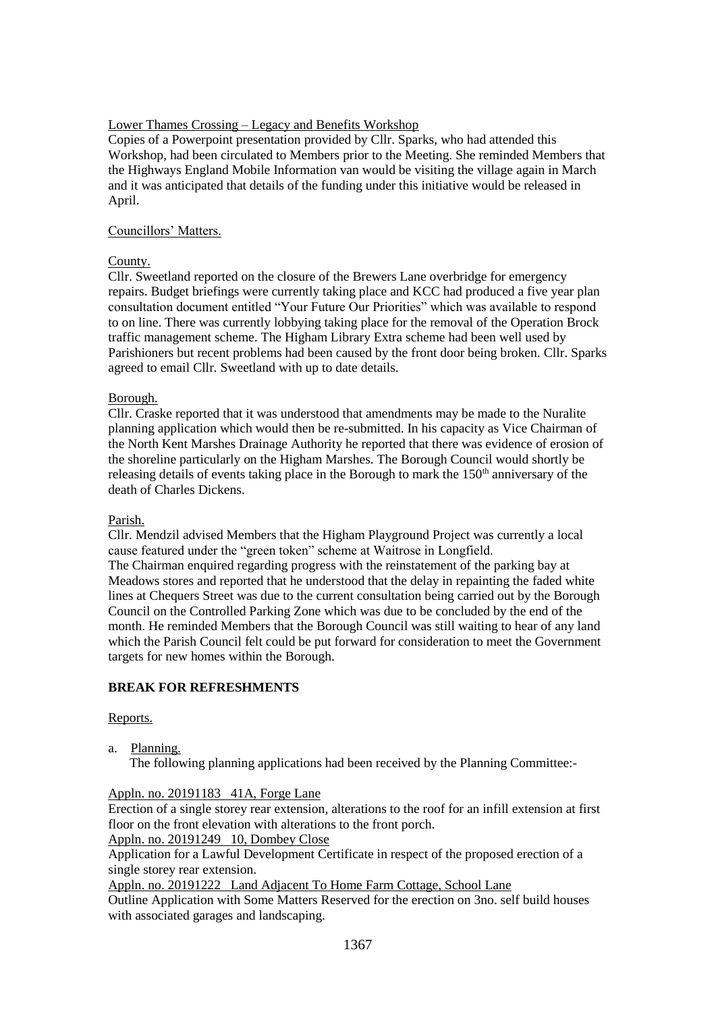## Lower Thames Crossing – Legacy and Benefits Workshop

Copies of a Powerpoint presentation provided by Cllr. Sparks, who had attended this Workshop, had been circulated to Members prior to the Meeting. She reminded Members that the Highways England Mobile Information van would be visiting the village again in March and it was anticipated that details of the funding under this initiative would be released in April.

## Councillors' Matters.

## County.

Cllr. Sweetland reported on the closure of the Brewers Lane overbridge for emergency repairs. Budget briefings were currently taking place and KCC had produced a five year plan consultation document entitled "Your Future Our Priorities" which was available to respond to on line. There was currently lobbying taking place for the removal of the Operation Brock traffic management scheme. The Higham Library Extra scheme had been well used by Parishioners but recent problems had been caused by the front door being broken. Cllr. Sparks agreed to email Cllr. Sweetland with up to date details.

## Borough.

Cllr. Craske reported that it was understood that amendments may be made to the Nuralite planning application which would then be re-submitted. In his capacity as Vice Chairman of the North Kent Marshes Drainage Authority he reported that there was evidence of erosion of the shoreline particularly on the Higham Marshes. The Borough Council would shortly be releasing details of events taking place in the Borough to mark the 150<sup>th</sup> anniversary of the death of Charles Dickens.

### Parish.

Cllr. Mendzil advised Members that the Higham Playground Project was currently a local cause featured under the "green token" scheme at Waitrose in Longfield.

The Chairman enquired regarding progress with the reinstatement of the parking bay at Meadows stores and reported that he understood that the delay in repainting the faded white lines at Chequers Street was due to the current consultation being carried out by the Borough Council on the Controlled Parking Zone which was due to be concluded by the end of the month. He reminded Members that the Borough Council was still waiting to hear of any land which the Parish Council felt could be put forward for consideration to meet the Government targets for new homes within the Borough.

# **BREAK FOR REFRESHMENTS**

### Reports.

a. Planning.

The following planning applications had been received by the Planning Committee:-

### Appln. no. 20191183 41A, Forge Lane

Erection of a single storey rear extension, alterations to the roof for an infill extension at first floor on the front elevation with alterations to the front porch.

Appln. no. 20191249 10, Dombey Close

Application for a Lawful Development Certificate in respect of the proposed erection of a single storey rear extension.

Appln. no. 20191222 Land Adjacent To Home Farm Cottage, School Lane

Outline Application with Some Matters Reserved for the erection on 3no. self build houses with associated garages and landscaping.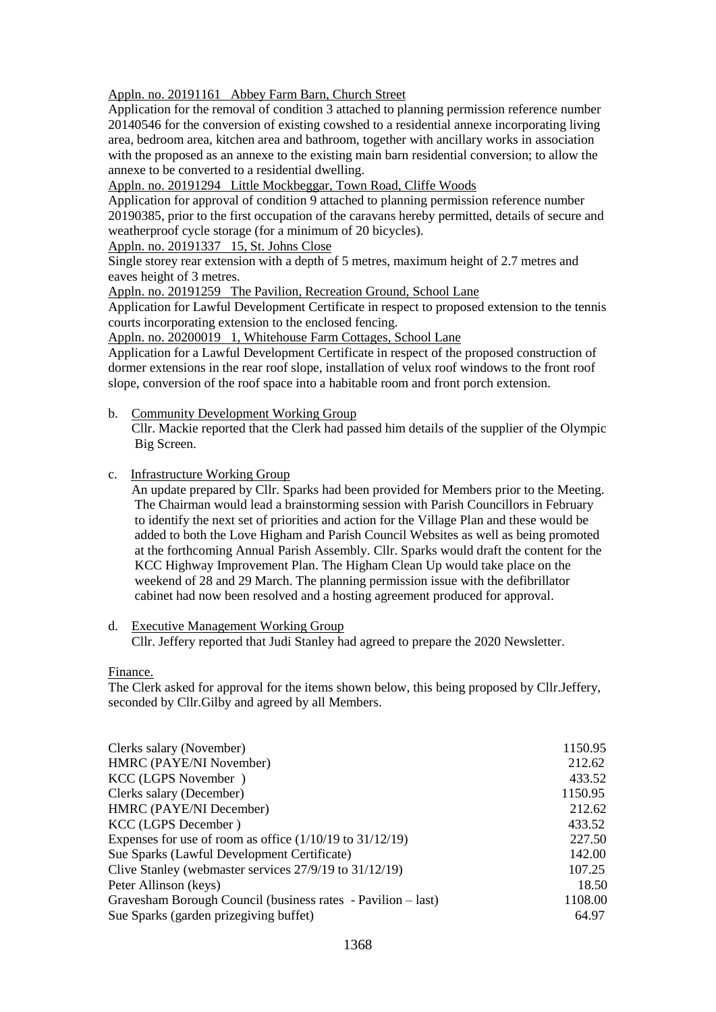Appln. no. 20191161 Abbey Farm Barn, Church Street

Application for the removal of condition 3 attached to planning permission reference number 20140546 for the conversion of existing cowshed to a residential annexe incorporating living area, bedroom area, kitchen area and bathroom, together with ancillary works in association with the proposed as an annexe to the existing main barn residential conversion; to allow the annexe to be converted to a residential dwelling.

Appln. no. 20191294 Little Mockbeggar, Town Road, Cliffe Woods

Application for approval of condition 9 attached to planning permission reference number 20190385, prior to the first occupation of the caravans hereby permitted, details of secure and weatherproof cycle storage (for a minimum of 20 bicycles).

Appln. no. 20191337 15, St. Johns Close

Single storey rear extension with a depth of 5 metres, maximum height of 2.7 metres and eaves height of 3 metres.

Appln. no. 20191259 The Pavilion, Recreation Ground, School Lane

Application for Lawful Development Certificate in respect to proposed extension to the tennis courts incorporating extension to the enclosed fencing.

Appln. no. 20200019 1, Whitehouse Farm Cottages, School Lane

Application for a Lawful Development Certificate in respect of the proposed construction of dormer extensions in the rear roof slope, installation of velux roof windows to the front roof slope, conversion of the roof space into a habitable room and front porch extension.

b. Community Development Working Group

 Cllr. Mackie reported that the Clerk had passed him details of the supplier of the Olympic Big Screen.

c. Infrastructure Working Group

 An update prepared by Cllr. Sparks had been provided for Members prior to the Meeting. The Chairman would lead a brainstorming session with Parish Councillors in February to identify the next set of priorities and action for the Village Plan and these would be added to both the Love Higham and Parish Council Websites as well as being promoted at the forthcoming Annual Parish Assembly. Cllr. Sparks would draft the content for the KCC Highway Improvement Plan. The Higham Clean Up would take place on the weekend of 28 and 29 March. The planning permission issue with the defibrillator cabinet had now been resolved and a hosting agreement produced for approval.

#### d. Executive Management Working Group

Cllr. Jeffery reported that Judi Stanley had agreed to prepare the 2020 Newsletter.

Finance.

The Clerk asked for approval for the items shown below, this being proposed by Cllr.Jeffery, seconded by Cllr.Gilby and agreed by all Members.

| Clerks salary (November)                                     | 1150.95 |
|--------------------------------------------------------------|---------|
| HMRC (PAYE/NI November)                                      | 212.62  |
| KCC (LGPS November)                                          | 433.52  |
| Clerks salary (December)                                     | 1150.95 |
| HMRC (PAYE/NI December)                                      | 212.62  |
| KCC (LGPS December)                                          | 433.52  |
| Expenses for use of room as office $(1/10/19$ to $31/12/19)$ | 227.50  |
| Sue Sparks (Lawful Development Certificate)                  | 142.00  |
| Clive Stanley (webmaster services 27/9/19 to 31/12/19)       | 107.25  |
| Peter Allinson (keys)                                        | 18.50   |
| Gravesham Borough Council (business rates - Pavilion – last) | 1108.00 |
| Sue Sparks (garden prizegiving buffet)                       | 64.97   |
|                                                              |         |